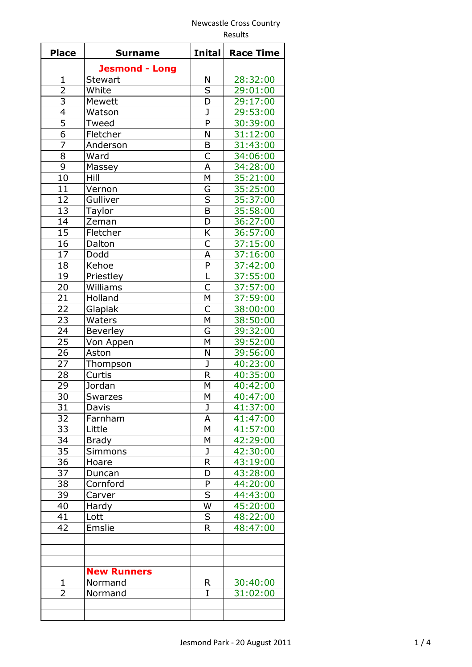## Newcastle Cross Country Results

| <b>Place</b>   | <b>Surname</b>        | <b>Inital</b>           | <b>Race Time</b> |
|----------------|-----------------------|-------------------------|------------------|
|                | <b>Jesmond - Long</b> |                         |                  |
| $\mathbf{1}$   | Stewart               | N                       | 28:32:00         |
|                | White                 | $\overline{\mathsf{S}}$ | 29:01:00         |
| $\frac{2}{3}$  | Mewett                | $\overline{D}$          | 29:17:00         |
| $\overline{4}$ | Watson                | J                       | 29:53:00         |
| $\overline{5}$ | Tweed                 | P                       | 30:39:00         |
| $\overline{6}$ | Fletcher              | N                       | 31:12:00         |
| $\overline{7}$ | Anderson              | B                       | 31:43:00         |
| 8              | Ward                  | $\overline{\mathsf{C}}$ | 34:06:00         |
| $\overline{9}$ | Massey                | A                       | 34:28:00         |
| 10             | Hill                  | M                       | 35:21:00         |
| 11             | Vernon                | G                       | 35:25:00         |
| 12             | Gulliver              | $\overline{\mathsf{S}}$ | 35:37:00         |
| 13             | Taylor                | $\overline{B}$          | 35:58:00         |
| 14             | Zeman                 | D                       | 36:27:00         |
| 15             | Fletcher              | K                       | 36:57:00         |
| 16             | Dalton                | $\mathsf C$             | 37:15:00         |
| 17             | Dodd                  | A                       | 37:16:00         |
| 18             | Kehoe                 | P                       | 37:42:00         |
| 19             | Priestley             | L                       | 37:55:00         |
| 20             | Williams              | С                       | 37:57:00         |
| 21             | Holland               | M                       | 37:59:00         |
| 22             | Glapiak               | $\overline{\mathsf{C}}$ | 38:00:00         |
| 23             | Waters                | M                       | 38:50:00         |
| 24             | Beverley              | G                       | 39:32:00         |
| 25             | Von Appen             | M                       | 39:52:00         |
| 26             | Aston                 | N                       | 39:56:00         |
| 27             | Thompson              | J                       | 40:23:00         |
| 28             | Curtis                | R                       | 40:35:00         |
| 29             | Jordan                | M                       | 40:42:00         |
| 30             | Swarzes               | М                       | 40:47:00         |
| 31             | Davis                 | J                       | 41:37:00         |
| 32             | Farnham               | Α                       | 41:47:00         |
| 33             | Little                | М                       | 41:57:00         |
| 34             | <b>Brady</b>          | M                       | 42:29:00         |
| 35             | <b>Simmons</b>        | J                       | 42:30:00         |
| 36             | Hoare                 | R                       | 43:19:00         |
| 37             | Duncan                | D                       | 43:28:00         |
| 38             | Cornford              | ${\sf P}$               | 44:20:00         |
| 39             | Carver                | S                       | 44:43:00         |
| 40             | Hardy                 | W                       | 45:20:00         |
| 41             | Lott                  | S                       | 48:22:00         |
| 42             | Emslie                | R.                      | 48:47:00         |
|                |                       |                         |                  |
|                |                       |                         |                  |
|                |                       |                         |                  |
|                | <b>New Runners</b>    |                         |                  |
| 1              | Normand               | R.                      | 30:40:00         |
| $\overline{2}$ | Normand               | I                       | 31:02:00         |
|                |                       |                         |                  |
|                |                       |                         |                  |
|                |                       |                         |                  |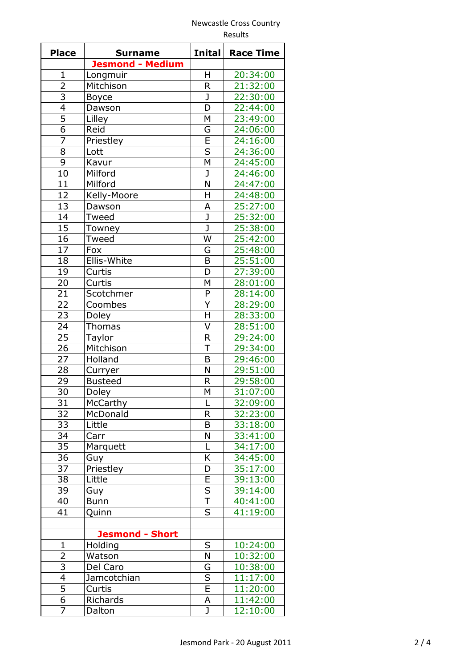## Newcastle Cross Country Results

| <b>Place</b>    | <b>Surname</b>          | <b>Inital</b>           | <b>Race Time</b>     |
|-----------------|-------------------------|-------------------------|----------------------|
|                 | <b>Jesmond - Medium</b> |                         |                      |
| $\mathbf{1}$    | Longmuir                | Η                       | 20:34:00             |
| $\overline{2}$  | Mitchison               | R.                      | 21:32:00             |
| $\overline{3}$  | Boyce                   | J                       | 22:30:00             |
| 4               | Dawson                  | D                       | 22:44:00             |
| $\overline{5}$  | Lilley                  | M                       | 23:49:00             |
| $\overline{6}$  | Reid                    | G                       | 24:06:00             |
| $\overline{7}$  | Priestley               | E                       | 24:16:00             |
| 8               | Lott                    | $\overline{\mathsf{S}}$ | 24:36:00             |
| 9               | Kavur                   | M                       | 24:45:00             |
| 10              | Milford                 | $\mathbf{J}$            | 24:46:00             |
| 11              | Milford                 | N                       | 24:47:00             |
| 12              | Kelly-Moore             | H                       | 24:48:00             |
| 13              | Dawson                  | A                       | 25:27:00             |
| 14              | Tweed                   | J                       | 25:32:00             |
| $\overline{15}$ | Towney                  | $\overline{\texttt{J}}$ | 25:38:00             |
| 16              | Tweed                   | W                       | 25:42:00             |
| 17              | Fox                     | G                       | 25:48:00             |
| 18              | Ellis-White             | $\mathsf B$             | 25:51:00             |
| 19              | Curtis                  | D                       | 27:39:00             |
| 20              | Curtis                  | M                       | 28:01:00             |
| 21              | Scotchmer               | P                       | 28:14:00             |
| 22              | Coombes                 | $\overline{Y}$          | 28:29:00             |
| 23              |                         | Η                       | 28:33:00             |
| 24              | Doley                   | $\overline{\mathsf{V}}$ | 28:51:00             |
| 25              | <b>Thomas</b>           |                         |                      |
|                 | Taylor                  | $\mathsf R$             | 29:24:00             |
| 26<br>27        | Mitchison               | T<br>B                  | 29:34:00             |
|                 | Holland                 | N                       | 29:46:00<br>29:51:00 |
| 28              | Curryer                 |                         |                      |
| 29              | <b>Busteed</b>          | R                       | 29:58:00             |
| 30              | Doley                   | M                       | 31:07:00             |
| 31              | McCarthy                | L                       | 32:09:00             |
| 32              | McDonald                | R                       | 32:23:00             |
| 33              | Little                  | B                       | 33:18:00             |
| 34              | Carr                    | N                       | 33:41:00             |
| 35              | Marquett                | L                       | 34:17:00             |
| 36              | Guy                     | Κ                       | 34:45:00             |
| 37              | Priestley               | D                       | 35:17:00             |
| 38              | Little                  | E                       | 39:13:00             |
| 39              | Guy                     | $\overline{\mathsf{S}}$ | 39:14:00             |
| 40              | <b>Bunn</b>             | T                       | 40:41:00             |
| 41              | Quinn                   | S                       | 41:19:00             |
|                 |                         |                         |                      |
|                 | <b>Jesmond - Short</b>  |                         |                      |
| $\mathbf{1}$    | Holding                 | S                       | 10:24:00             |
| 2               | Watson                  | N                       | 10:32:00             |
| 3               | Del Caro                | G                       | 10:38:00             |
| $\overline{4}$  | Jamcotchian             | $\overline{\mathsf{S}}$ | 11:17:00             |
| 5               | Curtis                  | $\overline{\mathsf{E}}$ | 11:20:00             |
| 6               | Richards                | А                       | 11:42:00             |
| $\overline{7}$  | Dalton                  | $\mathbf{J}$            | 12:10:00             |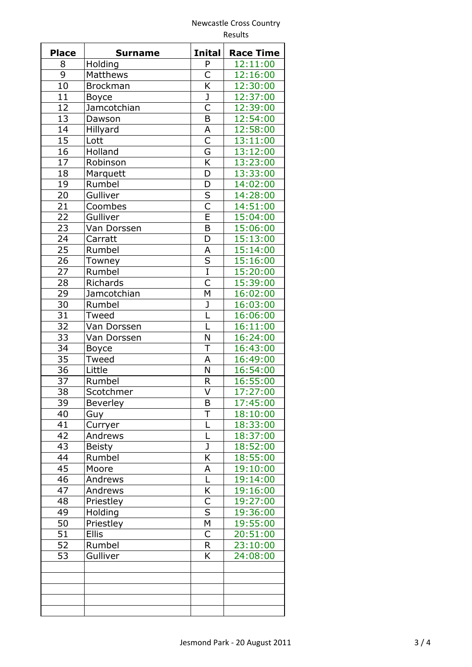## Newcastle Cross Country Results

| <b>Place</b>    | <b>Surname</b>  | <b>Inital</b>           | <b>Race Time</b> |
|-----------------|-----------------|-------------------------|------------------|
| 8               | Holding         | P                       | 12:11:00         |
| 9               | Matthews        | C                       | 12:16:00         |
| 10              | <b>Brockman</b> | K                       | 12:30:00         |
| 11              | <b>Boyce</b>    | $\overline{\mathsf{J}}$ | 12:37:00         |
| 12              | Jamcotchian     | $\overline{\mathsf{C}}$ | 12:39:00         |
| 13              | Dawson          | $\overline{\mathsf{B}}$ | 12:54:00         |
| 14              | Hillyard        | A                       | 12:58:00         |
| $\overline{15}$ | Lott            | $\overline{\mathsf{C}}$ | 13:11:00         |
| 16              | Holland         | G                       | 13:12:00         |
| 17              | Robinson        | K                       | 13:23:00         |
| 18              | Marquett        | D                       | 13:33:00         |
| 19              | Rumbel          | D                       | 14:02:00         |
| 20              | Gulliver        | $\overline{\mathsf{s}}$ | 14:28:00         |
| 21              |                 | $\overline{\mathsf{C}}$ |                  |
|                 | Coombes         |                         | 14:51:00         |
| 22              | Gulliver        | E                       | 15:04:00         |
| 23              | Van Dorssen     | B                       | 15:06:00         |
| 24              | Carratt         | D                       | 15:13:00         |
| 25              | Rumbel          | А                       | 15:14:00         |
| 26              | Towney          | $\overline{\mathsf{S}}$ | 15:16:00         |
| 27              | Rumbel          | $\overline{I}$          | 15:20:00         |
| 28              | Richards        | $\overline{\mathsf{C}}$ | 15:39:00         |
| 29              | Jamcotchian     | M                       | 16:02:00         |
| 30              | Rumbel          | J                       | 16:03:00         |
| $\overline{31}$ | Tweed           | Ĺ                       | 16:06:00         |
| 32              | Van Dorssen     | L                       | 16:11:00         |
| 33              | Van Dorssen     | N                       | 16:24:00         |
| 34              | <b>Boyce</b>    | T                       | 16:43:00         |
| 35              | Tweed           | A                       | 16:49:00         |
| 36              | Little          | N                       | 16:54:00         |
| 37              | Rumbel          | R                       | 16:55:00         |
| 38              | Scotchmer       | V                       | 17:27:00         |
| 39              | <b>Beverley</b> | Β                       | 17:45:00         |
| 40              | Guy             | Τ                       | 18:10:00         |
| 41              | Curryer         | L                       | 18:33:00         |
| 42              | Andrews         | Ĺ                       | 18:37:00         |
| 43              | <b>Beisty</b>   | J                       | 18:52:00         |
| 44              | Rumbel          | K                       | 18:55:00         |
| 45              | Moore           | А                       | 19:10:00         |
| 46              | Andrews         | L                       | 19:14:00         |
| 47              | Andrews         | K                       | 19:16:00         |
| 48              | Priestley       | C                       | 19:27:00         |
| 49              | Holding         | S                       | 19:36:00         |
| 50              | Priestley       | M                       | 19:55:00         |
| 51              | <b>Ellis</b>    | C                       | 20:51:00         |
| 52              | Rumbel          | R                       | 23:10:00         |
| 53              | Gulliver        | K                       | 24:08:00         |
|                 |                 |                         |                  |
|                 |                 |                         |                  |
|                 |                 |                         |                  |
|                 |                 |                         |                  |
|                 |                 |                         |                  |
|                 |                 |                         |                  |